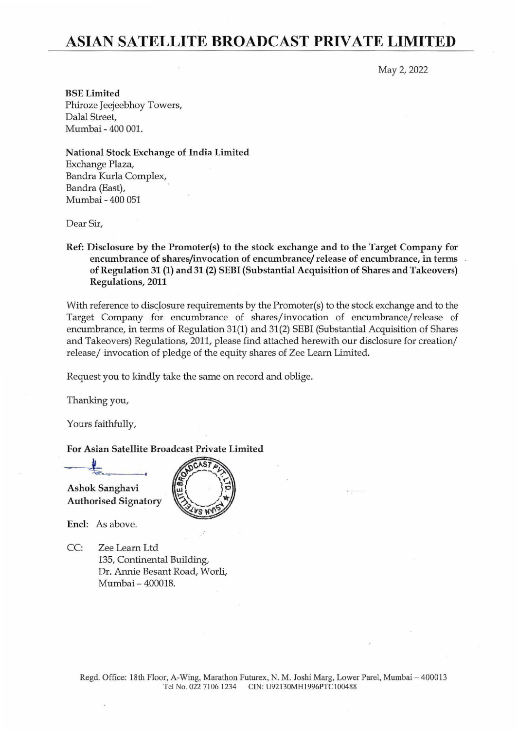## **ASIAN SATELLITE BROADCAST PRIVATE LIMITED**

May 2, 2022

BSE Limited Phiroze Jeejeebhoy Towers, Dalal Street, Mumbai - 400 001.

National Stock Exchange of India Limited Exchange Plaza, Bandra Kurla Complex, Bandra (East), Mumbai - 400 051

Dear Sir,

Ref: Disclosure by the Promoter(s) to the stock exchange and to the Target Company for encumbrance of shares/invocation of encumbrance/ release of encumbrance, in terms of Regulation 31 (1) and 31 (2) SEBI (Substantial Acquisition of Shares and Takeovers) Regulations, 2011

With reference to disclosure requirements by the Promoter $(s)$  to the stock exchange and to the Target Company for encumbrance of shares/invocation of encumbrance/release of encumbrance, in terms of Regulation 31(1) and 31(2) SEBI (Substantial Acquisition of Shares and Takeovers) Regulations, 2011, please find attached herewith our disclosure for creation/ release/ invocation of pledge of the equity shares of Zee Learn Limited.

Request you to kindly take the same on record and oblige.

 $CAST$ 

Thanking you,

Yours faithfully,

## For Asian Satellite Broadcast Private Limited

Ashok Sanghavi Authorised Signatory

Encl: As above.

CC: Zee Learn Ltd 135, Continental Building, Dr. Annie Besant Road, Worli, Mumbai - 400018.

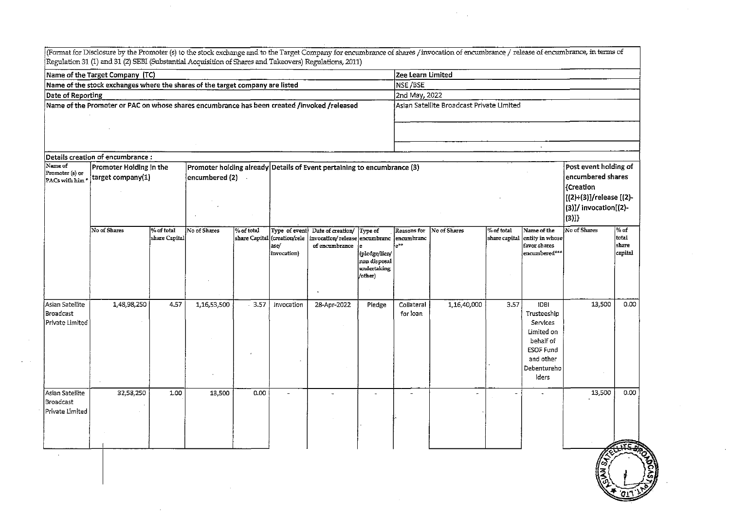|                                                        | Name of the Target Company (TC)                                                             |                             |                |            |                                                                         |                                                                       |                                                                    | Zee Learn Limited                      |                                           |                             |                                                                                                                            |                                                                                                                            |                                     |  |  |  |
|--------------------------------------------------------|---------------------------------------------------------------------------------------------|-----------------------------|----------------|------------|-------------------------------------------------------------------------|-----------------------------------------------------------------------|--------------------------------------------------------------------|----------------------------------------|-------------------------------------------|-----------------------------|----------------------------------------------------------------------------------------------------------------------------|----------------------------------------------------------------------------------------------------------------------------|-------------------------------------|--|--|--|
|                                                        | Name of the stock exchanges where the shares of the target company are listed               | NSE/BSE                     |                |            |                                                                         |                                                                       |                                                                    |                                        |                                           |                             |                                                                                                                            |                                                                                                                            |                                     |  |  |  |
| Date of Reporting                                      |                                                                                             |                             |                |            |                                                                         |                                                                       |                                                                    |                                        | 2nd May, 2022                             |                             |                                                                                                                            |                                                                                                                            |                                     |  |  |  |
|                                                        | Name of the Promoter or PAC on whose shares encumbrance has been created /invoked /released |                             |                |            |                                                                         |                                                                       |                                                                    |                                        | Asian Satellite Broadcast Private Limited |                             |                                                                                                                            |                                                                                                                            |                                     |  |  |  |
|                                                        |                                                                                             |                             |                |            |                                                                         |                                                                       |                                                                    |                                        |                                           |                             | $\mathcal{L}^{\mathcal{L}}$                                                                                                |                                                                                                                            |                                     |  |  |  |
| Name of                                                | Details creation of encumbrance:                                                            |                             |                |            |                                                                         |                                                                       |                                                                    |                                        |                                           |                             |                                                                                                                            |                                                                                                                            |                                     |  |  |  |
| Promoter (s) or<br>PACs with him                       | Promoter Holding in the<br>target company(1)                                                |                             | encumbered (2) |            | Promoter holding already Details of Event pertaining to encumbrance (3) |                                                                       |                                                                    |                                        |                                           |                             |                                                                                                                            | Post event holding of<br>encumbered shares<br>{Creation<br>[(2)+(3)]/release [(2)-<br>$(3)$ ]/ invocation[ $(2)$ -<br>(3)] |                                     |  |  |  |
|                                                        | No of Shares                                                                                | % of total<br>share Capital | No of Shares   | % of total | Type of event<br>share Capital (creation/rele<br>ase/<br>invocation)    | Date of creation/<br>invocation/ release encumbranc<br>of encumbrance | Type of<br>(pledge/lien/<br>non disposal<br>undertaking<br>/other) | Reasons for<br>lencumbranc<br>$e^{++}$ | No of Shares                              | % of total<br>share capital | Name of the<br>entity in whose<br>favor shares<br>encumbered***                                                            | No of Shares                                                                                                               | $%$ of<br>total<br>share<br>capital |  |  |  |
| Asian Satellite<br><b>Broadcast</b><br>Private Limited | 1,48,98,250                                                                                 | 4.57                        | 1,16,53,500    | $-3.57$    | Invocation                                                              | 28-Apr-2022                                                           | Pledge                                                             | Collateral<br>for loan                 | 1,16,40,000                               | 3.57                        | <b>IDBI</b><br>Trusteeship<br>Services<br>Limited on<br>behalf of<br><b>ESOF Fund</b><br>and other<br>Debentureho<br>lders | 13,500                                                                                                                     | 0.00                                |  |  |  |
| Asian Satellite<br>Broadcast<br>Private Limited        | 32,58,250                                                                                   | 1.00                        | 13,500         | 0.00       |                                                                         |                                                                       | $\overline{a}$                                                     | $\overline{\phantom{a}}$               | $\blacksquare$                            |                             |                                                                                                                            | 13,500                                                                                                                     | 0.00                                |  |  |  |

 $\sim 10^6$ 

 $\sim$ 

 $\mathcal{L}^{\text{max}}_{\text{max}}$ 

 $\frac{1}{2}$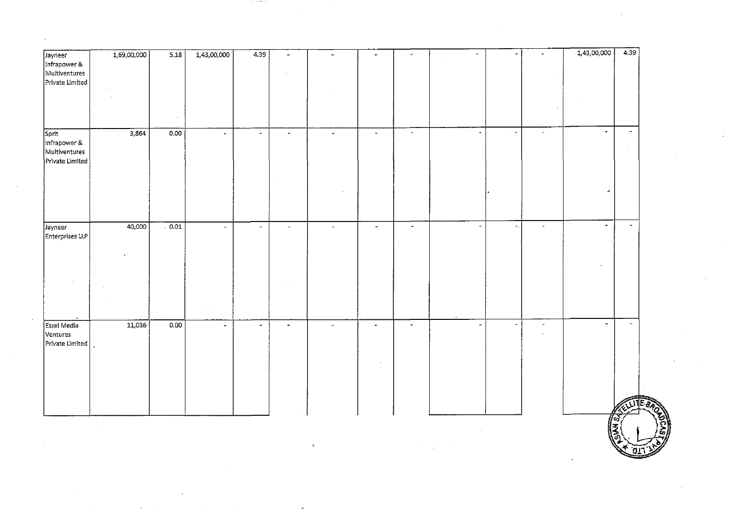| Jayneer                          | 1,69,00,000 | 5.18 | 1,43,00,000    | 4.39           | $\blacksquare$ | $\sim$         | $\bullet$          | $\bullet$            | $\overline{\phantom{a}}$ |                | $\sim$                   | 1,43,00,000   | 4.39                     |
|----------------------------------|-------------|------|----------------|----------------|----------------|----------------|--------------------|----------------------|--------------------------|----------------|--------------------------|---------------|--------------------------|
| Infrapower &                     |             |      |                |                |                |                |                    |                      |                          |                |                          |               |                          |
| Multiventures<br>Private Limited |             |      |                |                | $\sim$         |                |                    |                      |                          |                |                          |               |                          |
|                                  |             |      |                |                |                |                |                    |                      |                          |                |                          |               |                          |
|                                  |             |      |                |                |                |                |                    |                      |                          |                |                          |               |                          |
|                                  |             |      |                |                |                |                |                    |                      |                          |                |                          |               |                          |
|                                  |             |      |                |                |                | $\sim$         |                    |                      |                          |                |                          |               |                          |
| Sprit                            | 3,864       | 0.00 | $\bullet$      | $\sim$         | $\mathbf{r}$   | $\bullet$      | $\bar{\mathbf{z}}$ | $\blacksquare$       | $\bullet$                | $\blacksquare$ | $\sim$                   | $\sim$        | $\overline{\phantom{a}}$ |
| Infrapower &<br>Multiventures    |             |      |                |                |                |                |                    |                      |                          |                |                          |               |                          |
| Private Limited                  |             |      |                |                |                |                |                    |                      |                          |                |                          |               |                          |
|                                  |             |      |                |                | $\sim$         |                |                    |                      |                          |                |                          |               |                          |
|                                  |             |      |                |                |                |                |                    |                      |                          |                |                          |               |                          |
|                                  |             |      |                |                |                |                |                    |                      |                          |                |                          | $\rightarrow$ |                          |
|                                  |             |      |                |                |                |                |                    |                      |                          |                |                          |               |                          |
|                                  |             |      |                |                |                |                |                    |                      |                          |                |                          |               |                          |
| Jayneer                          | 40,000      | 0.01 | $\omega$       | $\sim$         | $\omega$       | $\sim$         | $\equiv$           | $\omega$             | $\overline{\phantom{a}}$ | $\blacksquare$ | $\blacksquare$           | $\sim$        | $\tilde{\phantom{a}}$    |
| Enterprises LLP                  |             |      |                |                |                |                |                    | $\sim$               |                          |                |                          |               |                          |
|                                  |             |      |                |                |                |                |                    |                      |                          |                |                          |               |                          |
|                                  |             |      |                |                |                |                |                    |                      |                          |                |                          |               |                          |
|                                  |             |      |                |                |                |                |                    |                      |                          |                |                          |               |                          |
|                                  |             |      |                |                |                |                |                    |                      |                          |                |                          |               |                          |
|                                  |             |      |                |                |                |                |                    |                      |                          |                |                          |               |                          |
|                                  |             |      |                |                |                |                |                    |                      |                          |                |                          |               |                          |
| Essel Media                      | 11,036      | 0.00 | $\blacksquare$ | $\blacksquare$ | $\blacksquare$ | $\blacksquare$ | $\blacksquare$     | $\ddot{\phantom{a}}$ | J.                       | J.             | $\overline{\phantom{a}}$ | $\sim$        | $\mathbb{R}^2$           |
| Ventures                         |             |      |                |                |                |                |                    |                      |                          |                | $\sim$                   |               |                          |
| Private Limited                  |             |      |                |                |                |                |                    |                      |                          |                |                          |               |                          |
|                                  |             |      |                |                |                |                |                    |                      |                          |                |                          |               |                          |
|                                  |             |      |                |                |                |                |                    |                      |                          |                |                          |               |                          |
|                                  |             |      |                |                |                |                |                    |                      |                          |                |                          |               |                          |
|                                  |             |      |                |                |                |                |                    |                      |                          |                |                          |               |                          |
|                                  |             |      |                |                |                |                |                    |                      |                          |                |                          |               |                          |
|                                  |             |      |                |                |                |                |                    |                      |                          |                |                          |               |                          |
|                                  |             |      |                |                |                |                |                    |                      |                          |                |                          | ∦∞<br>  ≆     |                          |

 $\sim 10^{11}$   $\rm s$ 

 $\overline{\phantom{a}}$ 

 $\sim$   $\alpha$ 

 $\Delta \sim 10$ 

 $\sim$ 

 $\mathcal{A}^{\mathcal{A}}$ 

 $\sim$ 

중,